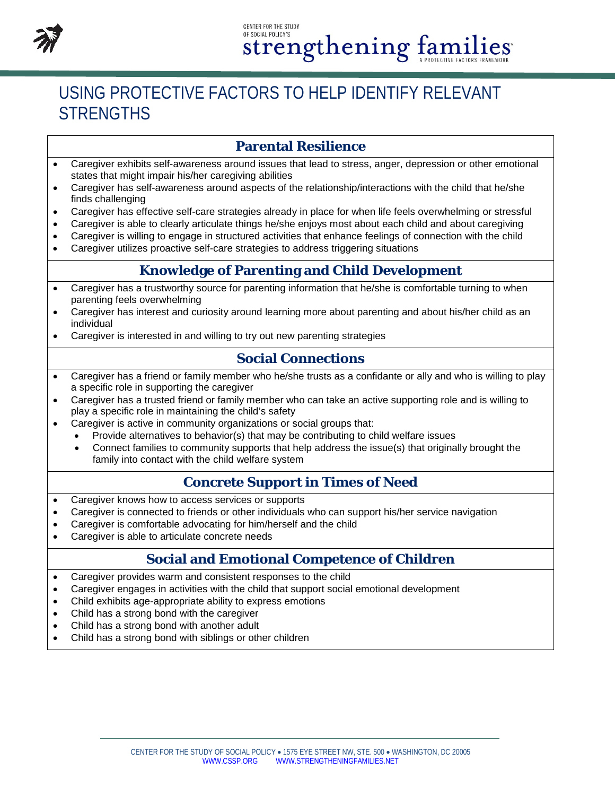

# USING PROTECTIVE FACTORS TO HELP IDENTIFY RELEVANT **STRENGTHS**

### **Parental Resilience**

- Caregiver exhibits self-awareness around issues that lead to stress, anger, depression or other emotional states that might impair his/her caregiving abilities
- Caregiver has self-awareness around aspects of the relationship/interactions with the child that he/she finds challenging
- Caregiver has effective self-care strategies already in place for when life feels overwhelming or stressful
- Caregiver is able to clearly articulate things he/she enjoys most about each child and about caregiving
- Caregiver is willing to engage in structured activities that enhance feelings of connection with the child
- Caregiver utilizes proactive self-care strategies to address triggering situations

### **Knowledge of Parenting and Child Development**

- Caregiver has a trustworthy source for parenting information that he/she is comfortable turning to when parenting feels overwhelming
- Caregiver has interest and curiosity around learning more about parenting and about his/her child as an individual
- Caregiver is interested in and willing to try out new parenting strategies

### **Social Connections**

- Caregiver has a friend or family member who he/she trusts as a confidante or ally and who is willing to play a specific role in supporting the caregiver
- Caregiver has a trusted friend or family member who can take an active supporting role and is willing to play a specific role in maintaining the child's safety
	- Caregiver is active in community organizations or social groups that:
		- Provide alternatives to behavior(s) that may be contributing to child welfare issues
		- Connect families to community supports that help address the issue(s) that originally brought the family into contact with the child welfare system

### **Concrete Support in Times of Need**

- Caregiver knows how to access services or supports
- Caregiver is connected to friends or other individuals who can support his/her service navigation
- Caregiver is comfortable advocating for him/herself and the child
- Caregiver is able to articulate concrete needs

### **Social and Emotional Competence of Children**

- Caregiver provides warm and consistent responses to the child
- Caregiver engages in activities with the child that support social emotional development
- Child exhibits age-appropriate ability to express emotions
- Child has a strong bond with the caregiver
- Child has a strong bond with another adult
- Child has a strong bond with siblings or other children